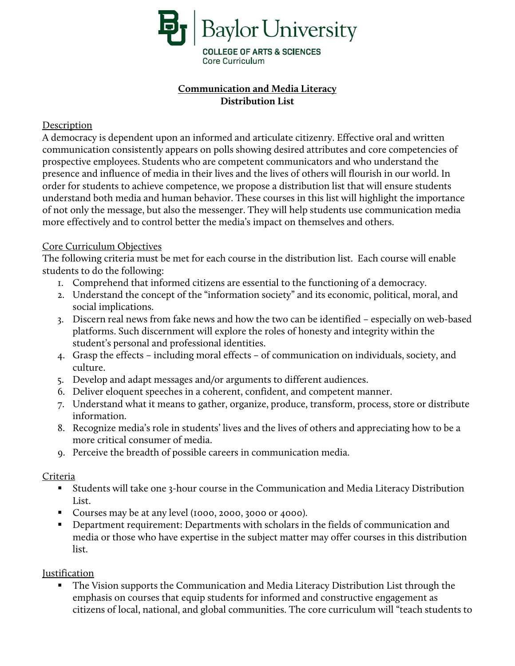

# **Communication and Media Literacy Distribution List**

### Description

A democracy is dependent upon an informed and articulate citizenry. Effective oral and written communication consistently appears on polls showing desired attributes and core competencies of prospective employees. Students who are competent communicators and who understand the presence and influence of media in their lives and the lives of others will flourish in our world. In order for students to achieve competence, we propose a distribution list that will ensure students understand both media and human behavior. These courses in this list will highlight the importance of not only the message, but also the messenger. They will help students use communication media more effectively and to control better the media's impact on themselves and others.

#### Core Curriculum Objectives

The following criteria must be met for each course in the distribution list. Each course will enable students to do the following:

- 1. Comprehend that informed citizens are essential to the functioning of a democracy.
- 2. Understand the concept of the "information society" and its economic, political, moral, and social implications.
- 3. Discern real news from fake news and how the two can be identified especially on web-based platforms. Such discernment will explore the roles of honesty and integrity within the student's personal and professional identities.
- 4. Grasp the effects including moral effects of communication on individuals, society, and culture.
- 5. Develop and adapt messages and/or arguments to different audiences.
- 6. Deliver eloquent speeches in a coherent, confident, and competent manner.
- 7. Understand what it means to gather, organize, produce, transform, process, store or distribute information.
- 8. Recognize media's role in students' lives and the lives of others and appreciating how to be a more critical consumer of media.
- 9. Perceive the breadth of possible careers in communication media.

## Criteria

- Students will take one 3-hour course in the Communication and Media Literacy Distribution List.
- Courses may be at any level (1000, 2000, 3000 or 4000).
- **•** Department requirement: Departments with scholars in the fields of communication and media or those who have expertise in the subject matter may offer courses in this distribution list.

## Justification

 The Vision supports the Communication and Media Literacy Distribution List through the emphasis on courses that equip students for informed and constructive engagement as citizens of local, national, and global communities. The core curriculum will "teach students to